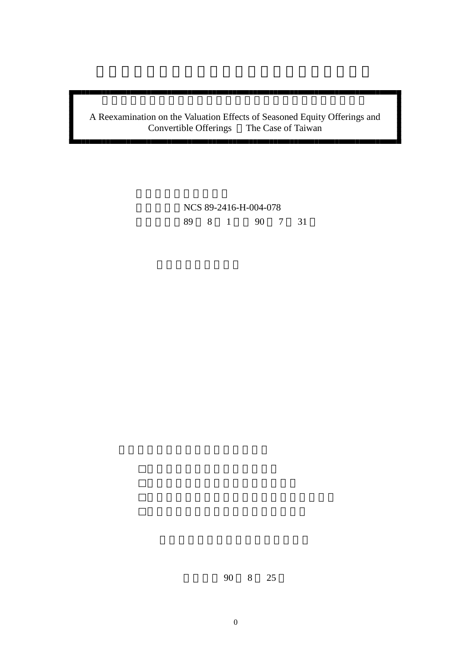# A Reexamination on the Valuation Effects of Seasoned Equity Offerings and Convertible Offerings The Case of Taiwan Convertible Offerings

NCS 89-2416-H-004-078 執行期間:89 8 1 日至 90 7 31

華民國 90 8 25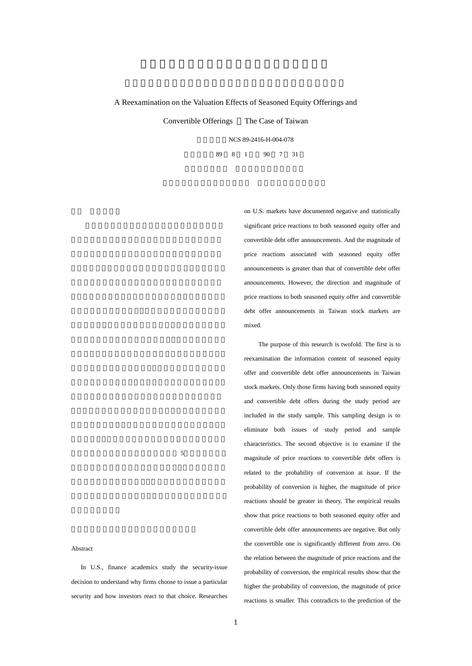## A Reexamination on the Valuation Effects of Seasoned Equity Offerings and

Convertible Offerings The Case of Taiwan

計畫編號:NCS 89-2416-H-004-078 執行期間:89 8 1 日至 90 7 31

> on U.S. markets have documented negative and statistically significant price reactions to both seasoned equity offer and convertible debt offer announcements. And the magnitude of price reactions associated with seasoned equity offer announcements is greater than that of convertible debt offer announcements. However, the direction and magnitude of price reactions to both seasoned equity offer and convertible debt offer announcements in Taiwan stock markets are mixed.

> The purpose of this research is twofold. The first is to reexamination the information content of seasoned equity offer and convertible debt offer announcements in Taiwan stock markets. Only those firms having both seasoned equity and convertible debt offers during the study period are included in the study sample. This sampling design is to eliminate both issues of study period and sample characteristics. The second objective is to examine if the magnitude of price reactions to convertible debt offers is related to the probability of conversion at issue. If the probability of conversion is higher, the magnitude of price reactions should be greater in theory. The empirical results show that price reactions to both seasoned equity offer and convertible debt offer announcements are negative. But only the convertible one is significantly different from zero. On the relation between the magnitude of price reactions and the probability of conversion, the empirical results show that the higher the probability of conversion, the magnitude of price reactions is smaller. This contradicts to the prediction of the

### $5<sub>5</sub>$

## Abstract

In U.S., finance academics study the security-issue decision to understand why firms choose to issue a particular security and how investors react to that choice. Researches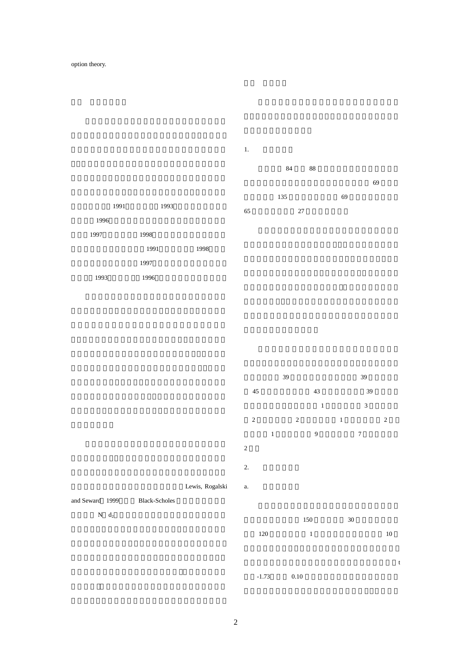





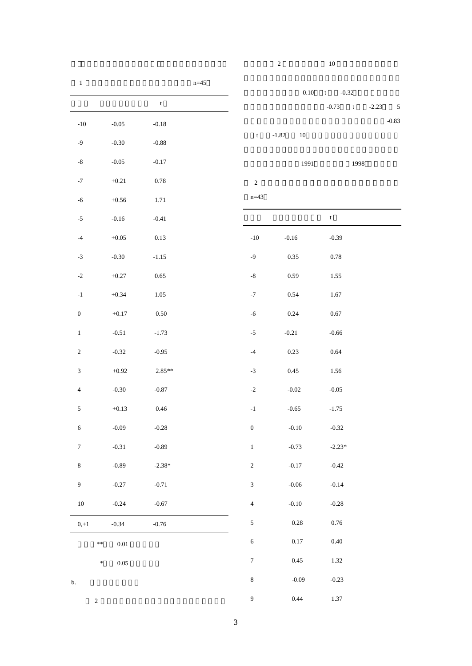| $\gamma$ | 10 |  |
|----------|----|--|
|          |    |  |

| $\,1\,$                     |               | $n = 45$    |                             |                   |                                                  |         |
|-----------------------------|---------------|-------------|-----------------------------|-------------------|--------------------------------------------------|---------|
|                             |               | $\mathbf t$ |                             | $0.10\,$          | $-0.32$<br>t<br>$-0.73$<br>$-$ t $\,$<br>$-2.23$ | 5       |
| $-10$                       | $-0.05$       | $-0.18$     |                             |                   |                                                  | $-0.83$ |
| $-9$                        | $-0.30$       | $-0.88$     | $\mathbf t$                 | $-1.82$<br>$10\,$ |                                                  |         |
| $\mbox{-}8$                 | $-0.05$       | $-0.17$     |                             | 1991              | 1998                                             |         |
| $^{\rm -7}$                 | $+0.21$       | $0.78\,$    | $\sqrt{2}$                  |                   |                                                  |         |
| $-6$                        | $+0.56$       | 1.71        | $n = 43$                    |                   |                                                  |         |
| $\textnormal{-}5$           | $-0.16$       | $-0.41$     |                             |                   | $\ensuremath{\mathbf{t}}$                        |         |
| $^{-4}$                     | $+0.05\,$     | $0.13\,$    | $-10$                       | $-0.16$           | $-0.39$                                          |         |
| $-3$                        | $-0.30$       | $-1.15$     | $-9$                        | $0.35\,$          | $0.78\,$                                         |         |
| $\textnormal{-}2$           | $+0.27$       | $0.65\,$    | $\mbox{-}8$                 | 0.59              | 1.55                                             |         |
| $^{\rm -1}$                 | $+0.34$       | $1.05\,$    | $^{\rm -7}$                 | $0.54\,$          | 1.67                                             |         |
| $\boldsymbol{0}$            | $+0.17$       | $0.50\,$    | $-6$                        | 0.24              | $0.67\,$                                         |         |
| $\,1\,$                     | $-0.51$       | $-1.73$     | $-5$                        | $-0.21$           | $-0.66$                                          |         |
| $\sqrt{2}$                  | $-0.32$       | $-0.95$     | $-4$                        | 0.23              | $0.64\,$                                         |         |
| $\ensuremath{\mathfrak{Z}}$ | $+0.92$       | $2.85**$    | $\textnormal{-3}$           | $0.45\,$          | 1.56                                             |         |
| $\sqrt{4}$                  | $-0.30$       | $-0.87$     | $\mbox{-}2$                 | $-0.02$           | $-0.05$                                          |         |
| $\sqrt{5}$                  | $+0.13$       | $0.46\,$    | $^{\rm -1}$                 | $-0.65$           | $-1.75$                                          |         |
| $\sqrt{6}$                  | $-0.09$       | $-0.28$     | $\boldsymbol{0}$            | $-0.10$           | $-0.32$                                          |         |
| $\boldsymbol{7}$            | $-0.31$       | $-0.89$     | $\,1\,$                     | $-0.73$           | $-2.23*$                                         |         |
| $\,8\,$                     | $-0.89$       | $-2.38*$    | $\sqrt{2}$                  | $-0.17$           | $-0.42$                                          |         |
| $\boldsymbol{9}$            | $-0.27$       | $-0.71$     | $\ensuremath{\mathfrak{Z}}$ | $-0.06$           | $-0.14$                                          |         |
| $10\,$                      | $-0.24$       | $-0.67$     | $\sqrt{4}$                  | $-0.10$           | $-0.28$                                          |         |
| $0, +1$                     | $-0.34$       | $-0.76$     | $\sqrt{5}$                  | 0.28              | $0.76\,$                                         |         |
| $\ast\ast$                  | $0.01\,$      |             | $\sqrt{6}$                  | $0.17\,$          | $0.40\,$                                         |         |
|                             | ×<br>$0.05\,$ |             | $\boldsymbol{7}$            | 0.45              | 1.32                                             |         |
| $\mathbf b.$                |               |             | $\,8\,$                     | $-0.09$           | $-0.23$                                          |         |
| $\sqrt{2}$                  |               |             | $\boldsymbol{9}$            | 0.44              | $1.37\,$                                         |         |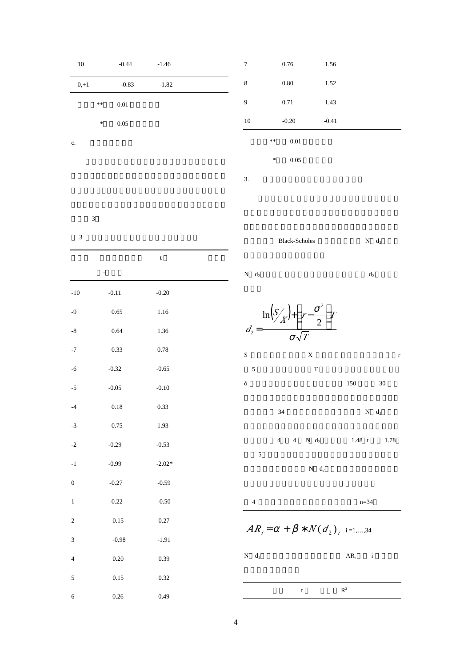| 10     | $-0.44$ | $-1.46$ |  |
|--------|---------|---------|--|
| $0,+1$ | $-0.83$ | $-1.82$ |  |
| **     | 0.01    |         |  |
| $\ast$ | 0.05    |         |  |

| 7  | 0.76               | 1.56    |  |
|----|--------------------|---------|--|
| 8  | 0.80               | 1.52    |  |
| 9  | 0.71               | 1.43    |  |
| 10 | $-0.20$            | $-0.41$ |  |
|    | $\ast\ast$<br>0.01 |         |  |
|    | 0.05<br>$\ast$     |         |  |
| 3. |                    |         |  |

列於表 3

 $3$ 

c.

|                | ÷,      | $\mathsf t$ |  |
|----------------|---------|-------------|--|
| $-10$          | $-0.11$ | $-0.20$     |  |
| $-9$           | 0.65    | 1.16        |  |
| $\mbox{-}8$    | 0.64    | 1.36        |  |
| $\text{-}7$    | 0.33    | 0.78        |  |
| $-6$           | $-0.32$ | $-0.65$     |  |
| $-5$           | $-0.05$ | $-0.10$     |  |
| $-4$           | 0.18    | 0.33        |  |
| $-3$           | 0.75    | 1.93        |  |
| $-2$           | $-0.29$ | $-0.53$     |  |
| $-1$           | $-0.99$ | $-2.02*$    |  |
| $\overline{0}$ | $-0.27$ | $-0.59$     |  |
| $\mathbf{1}$   | $-0.22$ | $-0.50$     |  |
| $\overline{c}$ | 0.15    | 0.27        |  |
| 3              | $-0.98$ | $-1.91$     |  |
| $\overline{4}$ | 0.20    | 0.39        |  |
| 5              | 0.15    | 0.32        |  |
| 6              | 0.26    | 0.49        |  |



t  $R$  $\mathbf{R}^2$